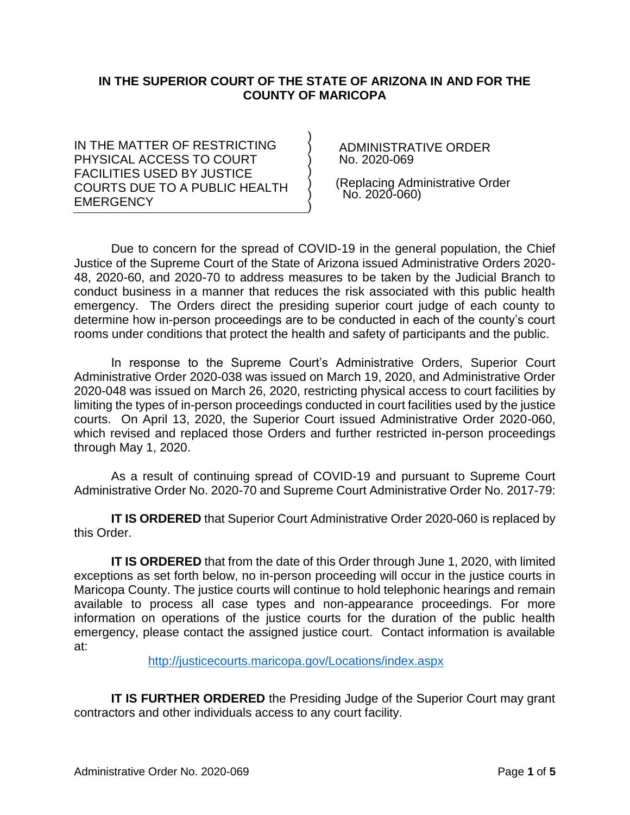#### **IN THE SUPERIOR COURT OF THE STATE OF ARIZONA IN AND FOR THE COUNTY OF MARICOPA**

) ) ) ) ) ) )

IN THE MATTER OF RESTRICTING PHYSICAL ACCESS TO COURT FACILITIES USED BY JUSTICE COURTS DUE TO A PUBLIC HEALTH **EMERGENCY** 

 ADMINISTRATIVE ORDER No. 2020-069

 (Replacing Administrative Order No. 2020-060)

Due to concern for the spread of COVID-19 in the general population, the Chief Justice of the Supreme Court of the State of Arizona issued Administrative Orders 2020- 48, 2020-60, and 2020-70 to address measures to be taken by the Judicial Branch to conduct business in a manner that reduces the risk associated with this public health emergency. The Orders direct the presiding superior court judge of each county to determine how in-person proceedings are to be conducted in each of the county's court rooms under conditions that protect the health and safety of participants and the public.

In response to the Supreme Court's Administrative Orders, Superior Court Administrative Order 2020-038 was issued on March 19, 2020, and Administrative Order 2020-048 was issued on March 26, 2020, restricting physical access to court facilities by limiting the types of in-person proceedings conducted in court facilities used by the justice courts. On April 13, 2020, the Superior Court issued Administrative Order 2020-060, which revised and replaced those Orders and further restricted in-person proceedings through May 1, 2020.

As a result of continuing spread of COVID-19 and pursuant to Supreme Court Administrative Order No. 2020-70 and Supreme Court Administrative Order No. 2017-79:

**IT IS ORDERED** that Superior Court Administrative Order 2020-060 is replaced by this Order.

**IT IS ORDERED** that from the date of this Order through June 1, 2020, with limited exceptions as set forth below, no in-person proceeding will occur in the justice courts in Maricopa County. The justice courts will continue to hold telephonic hearings and remain available to process all case types and non-appearance proceedings. For more information on operations of the justice courts for the duration of the public health emergency, please contact the assigned justice court. Contact information is available at:

<http://justicecourts.maricopa.gov/Locations/index.aspx>

**IT IS FURTHER ORDERED** the Presiding Judge of the Superior Court may grant contractors and other individuals access to any court facility.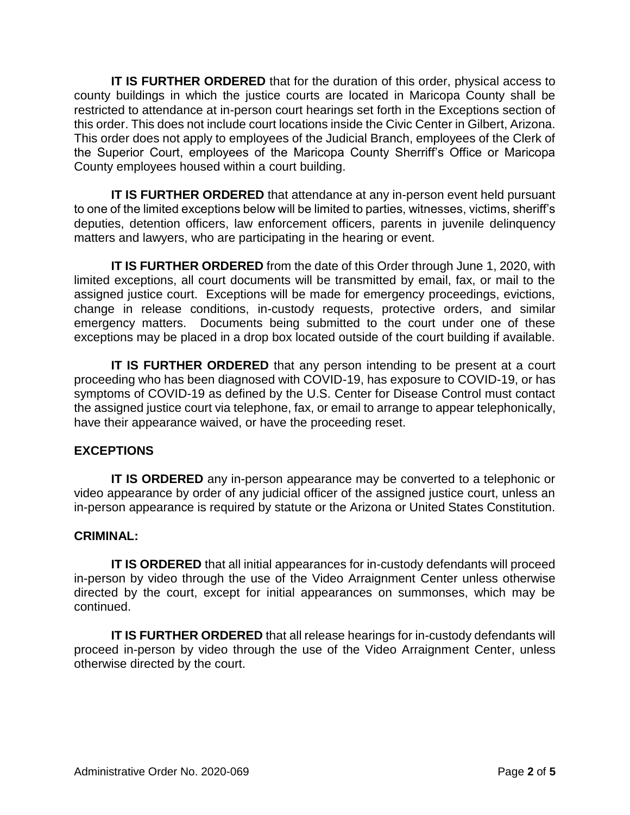**IT IS FURTHER ORDERED** that for the duration of this order, physical access to county buildings in which the justice courts are located in Maricopa County shall be restricted to attendance at in-person court hearings set forth in the Exceptions section of this order. This does not include court locations inside the Civic Center in Gilbert, Arizona. This order does not apply to employees of the Judicial Branch, employees of the Clerk of the Superior Court, employees of the Maricopa County Sherriff's Office or Maricopa County employees housed within a court building.

**IT IS FURTHER ORDERED** that attendance at any in-person event held pursuant to one of the limited exceptions below will be limited to parties, witnesses, victims, sheriff's deputies, detention officers, law enforcement officers, parents in juvenile delinquency matters and lawyers, who are participating in the hearing or event.

**IT IS FURTHER ORDERED** from the date of this Order through June 1, 2020, with limited exceptions, all court documents will be transmitted by email, fax, or mail to the assigned justice court. Exceptions will be made for emergency proceedings, evictions, change in release conditions, in-custody requests, protective orders, and similar emergency matters. Documents being submitted to the court under one of these exceptions may be placed in a drop box located outside of the court building if available.

**IT IS FURTHER ORDERED** that any person intending to be present at a court proceeding who has been diagnosed with COVID-19, has exposure to COVID-19, or has symptoms of COVID-19 as defined by the U.S. Center for Disease Control must contact the assigned justice court via telephone, fax, or email to arrange to appear telephonically, have their appearance waived, or have the proceeding reset.

## **EXCEPTIONS**

**IT IS ORDERED** any in-person appearance may be converted to a telephonic or video appearance by order of any judicial officer of the assigned justice court, unless an in-person appearance is required by statute or the Arizona or United States Constitution.

# **CRIMINAL:**

**IT IS ORDERED** that all initial appearances for in-custody defendants will proceed in-person by video through the use of the Video Arraignment Center unless otherwise directed by the court, except for initial appearances on summonses, which may be continued.

**IT IS FURTHER ORDERED** that all release hearings for in-custody defendants will proceed in-person by video through the use of the Video Arraignment Center, unless otherwise directed by the court.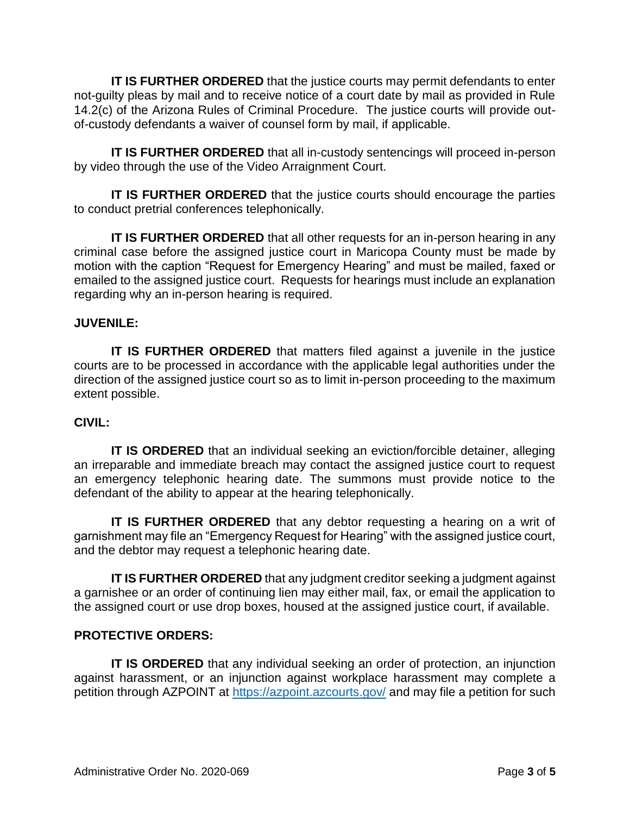**IT IS FURTHER ORDERED** that the justice courts may permit defendants to enter not-guilty pleas by mail and to receive notice of a court date by mail as provided in Rule 14.2(c) of the Arizona Rules of Criminal Procedure. The justice courts will provide outof-custody defendants a waiver of counsel form by mail, if applicable.

**IT IS FURTHER ORDERED** that all in-custody sentencings will proceed in-person by video through the use of the Video Arraignment Court.

**IT IS FURTHER ORDERED** that the justice courts should encourage the parties to conduct pretrial conferences telephonically.

**IT IS FURTHER ORDERED** that all other requests for an in-person hearing in any criminal case before the assigned justice court in Maricopa County must be made by motion with the caption "Request for Emergency Hearing" and must be mailed, faxed or emailed to the assigned justice court. Requests for hearings must include an explanation regarding why an in-person hearing is required.

# **JUVENILE:**

**IT IS FURTHER ORDERED** that matters filed against a juvenile in the justice courts are to be processed in accordance with the applicable legal authorities under the direction of the assigned justice court so as to limit in-person proceeding to the maximum extent possible.

## **CIVIL:**

**IT IS ORDERED** that an individual seeking an eviction/forcible detainer, alleging an irreparable and immediate breach may contact the assigned justice court to request an emergency telephonic hearing date. The summons must provide notice to the defendant of the ability to appear at the hearing telephonically.

**IT IS FURTHER ORDERED** that any debtor requesting a hearing on a writ of garnishment may file an "Emergency Request for Hearing" with the assigned justice court, and the debtor may request a telephonic hearing date.

**IT IS FURTHER ORDERED** that any judgment creditor seeking a judgment against a garnishee or an order of continuing lien may either mail, fax, or email the application to the assigned court or use drop boxes, housed at the assigned justice court, if available.

## **PROTECTIVE ORDERS:**

**IT IS ORDERED** that any individual seeking an order of protection, an injunction against harassment, or an injunction against workplace harassment may complete a petition through AZPOINT at<https://azpoint.azcourts.gov/> and may file a petition for such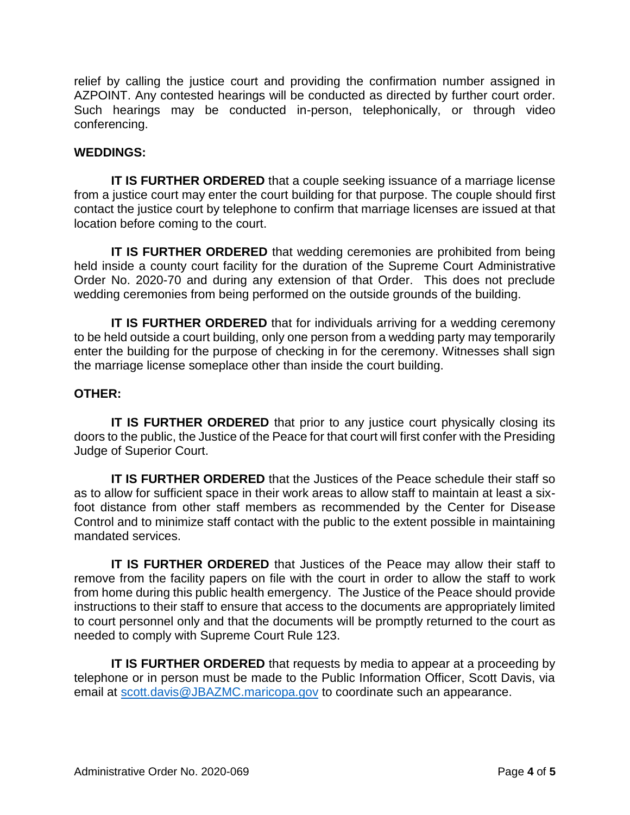relief by calling the justice court and providing the confirmation number assigned in AZPOINT. Any contested hearings will be conducted as directed by further court order. Such hearings may be conducted in-person, telephonically, or through video conferencing.

#### **WEDDINGS:**

**IT IS FURTHER ORDERED** that a couple seeking issuance of a marriage license from a justice court may enter the court building for that purpose. The couple should first contact the justice court by telephone to confirm that marriage licenses are issued at that location before coming to the court.

**IT IS FURTHER ORDERED** that wedding ceremonies are prohibited from being held inside a county court facility for the duration of the Supreme Court Administrative Order No. 2020-70 and during any extension of that Order. This does not preclude wedding ceremonies from being performed on the outside grounds of the building.

**IT IS FURTHER ORDERED** that for individuals arriving for a wedding ceremony to be held outside a court building, only one person from a wedding party may temporarily enter the building for the purpose of checking in for the ceremony. Witnesses shall sign the marriage license someplace other than inside the court building.

## **OTHER:**

**IT IS FURTHER ORDERED** that prior to any justice court physically closing its doors to the public, the Justice of the Peace for that court will first confer with the Presiding Judge of Superior Court.

**IT IS FURTHER ORDERED** that the Justices of the Peace schedule their staff so as to allow for sufficient space in their work areas to allow staff to maintain at least a sixfoot distance from other staff members as recommended by the Center for Disease Control and to minimize staff contact with the public to the extent possible in maintaining mandated services.

**IT IS FURTHER ORDERED** that Justices of the Peace may allow their staff to remove from the facility papers on file with the court in order to allow the staff to work from home during this public health emergency. The Justice of the Peace should provide instructions to their staff to ensure that access to the documents are appropriately limited to court personnel only and that the documents will be promptly returned to the court as needed to comply with Supreme Court Rule 123.

**IT IS FURTHER ORDERED** that requests by media to appear at a proceeding by telephone or in person must be made to the Public Information Officer, Scott Davis, via email at [scott.davis@JBAZMC.maricopa.gov](mailto:scott.davis@JBAZMC.maricopa.gov) to coordinate such an appearance.